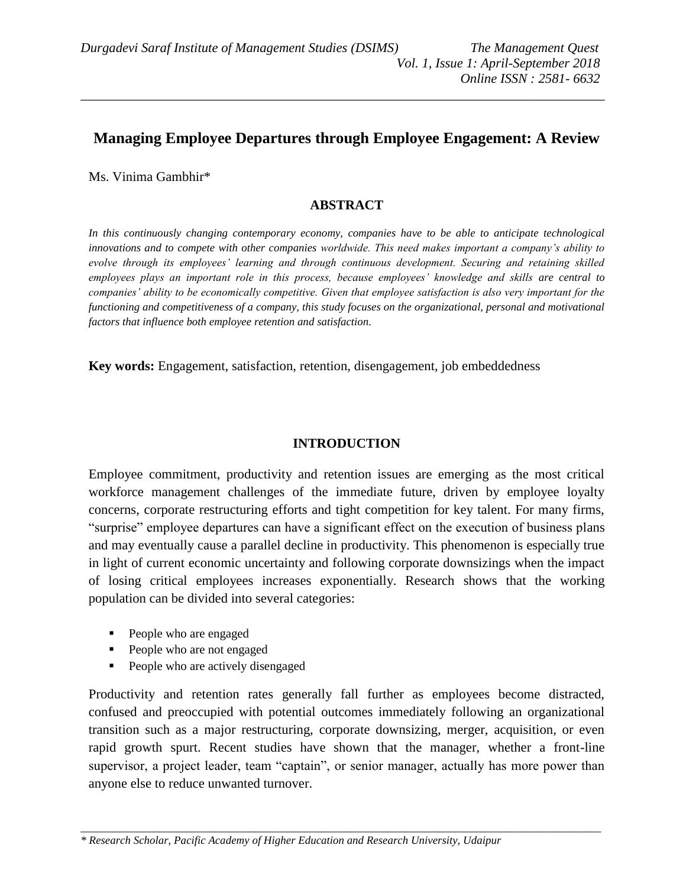\_\_\_\_\_\_\_\_\_\_\_\_\_\_\_\_\_\_\_\_\_\_\_\_\_\_\_\_\_\_\_\_\_\_\_\_\_\_\_\_\_\_\_\_\_\_\_\_\_\_\_\_\_\_\_\_\_\_\_\_\_\_\_\_\_\_\_\_\_\_\_\_\_\_\_\_\_\_

# **Managing Employee Departures through Employee Engagement: A Review**

Ms. Vinima Gambhir\*

### **ABSTRACT**

*In this continuously changing contemporary economy, companies have to be able to anticipate technological innovations and to compete with other companies worldwide. This need makes important a company's ability to evolve through its employees' learning and through continuous development. Securing and retaining skilled employees plays an important role in this process, because employees' knowledge and skills are central to companies' ability to be economically competitive. Given that employee satisfaction is also very important for the functioning and competitiveness of a company, this study focuses on the organizational, personal and motivational factors that influence both employee retention and satisfaction.*

**Key words:** Engagement, satisfaction, retention, disengagement, job embeddedness

### **INTRODUCTION**

Employee commitment, productivity and retention issues are emerging as the most critical workforce management challenges of the immediate future, driven by employee loyalty concerns, corporate restructuring efforts and tight competition for key talent. For many firms, "surprise" employee departures can have a significant effect on the execution of business plans and may eventually cause a parallel decline in productivity. This phenomenon is especially true in light of current economic uncertainty and following corporate downsizings when the impact of losing critical employees increases exponentially. Research shows that the working population can be divided into several categories:

- People who are engaged
- People who are not engaged
- People who are actively disengaged

Productivity and retention rates generally fall further as employees become distracted, confused and preoccupied with potential outcomes immediately following an organizational transition such as a major restructuring, corporate downsizing, merger, acquisition, or even rapid growth spurt. Recent studies have shown that the manager, whether a front-line supervisor, a project leader, team "captain", or senior manager, actually has more power than anyone else to reduce unwanted turnover.

\_\_\_\_\_\_\_\_\_\_\_\_\_\_\_\_\_\_\_\_\_\_\_\_\_\_\_\_\_\_\_\_\_\_\_\_\_\_\_\_\_\_\_\_\_\_\_\_\_\_\_\_\_\_\_\_\_\_\_\_\_\_\_\_\_\_\_\_\_\_\_\_\_\_\_\_\_\_\_\_\_\_\_\_\_\_\_\_\_\_\_\_\_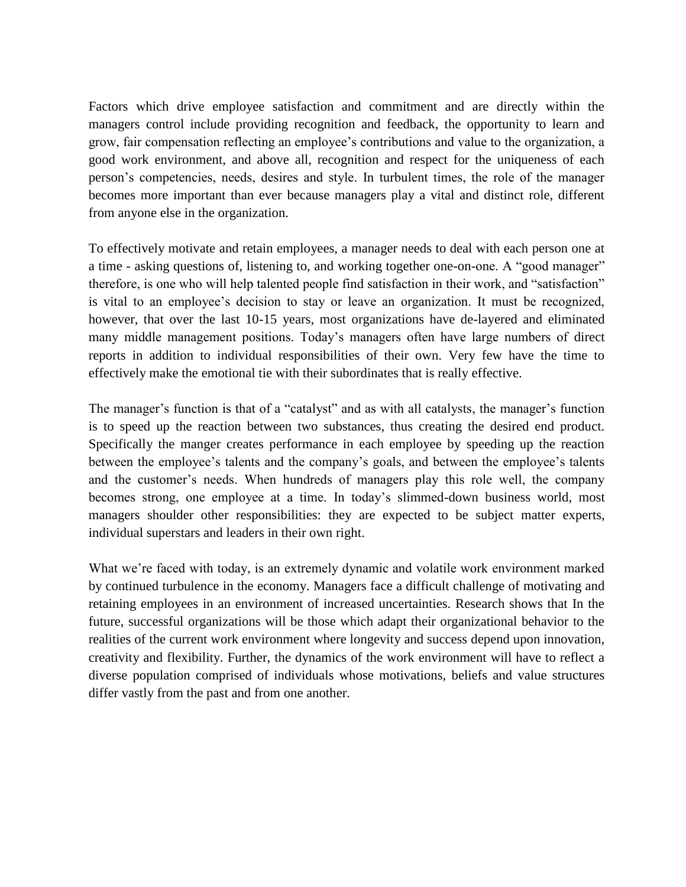Factors which drive employee satisfaction and commitment and are directly within the managers control include providing recognition and feedback, the opportunity to learn and grow, fair compensation reflecting an employee's contributions and value to the organization, a good work environment, and above all, recognition and respect for the uniqueness of each person's competencies, needs, desires and style. In turbulent times, the role of the manager becomes more important than ever because managers play a vital and distinct role, different from anyone else in the organization.

To effectively motivate and retain employees, a manager needs to deal with each person one at a time - asking questions of, listening to, and working together one-on-one. A "good manager" therefore, is one who will help talented people find satisfaction in their work, and "satisfaction" is vital to an employee's decision to stay or leave an organization. It must be recognized, however, that over the last 10-15 years, most organizations have de-layered and eliminated many middle management positions. Today's managers often have large numbers of direct reports in addition to individual responsibilities of their own. Very few have the time to effectively make the emotional tie with their subordinates that is really effective.

The manager's function is that of a "catalyst" and as with all catalysts, the manager's function is to speed up the reaction between two substances, thus creating the desired end product. Specifically the manger creates performance in each employee by speeding up the reaction between the employee's talents and the company's goals, and between the employee's talents and the customer's needs. When hundreds of managers play this role well, the company becomes strong, one employee at a time. In today's slimmed-down business world, most managers shoulder other responsibilities: they are expected to be subject matter experts, individual superstars and leaders in their own right.

What we're faced with today, is an extremely dynamic and volatile work environment marked by continued turbulence in the economy. Managers face a difficult challenge of motivating and retaining employees in an environment of increased uncertainties. Research shows that In the future, successful organizations will be those which adapt their organizational behavior to the realities of the current work environment where longevity and success depend upon innovation, creativity and flexibility. Further, the dynamics of the work environment will have to reflect a diverse population comprised of individuals whose motivations, beliefs and value structures differ vastly from the past and from one another.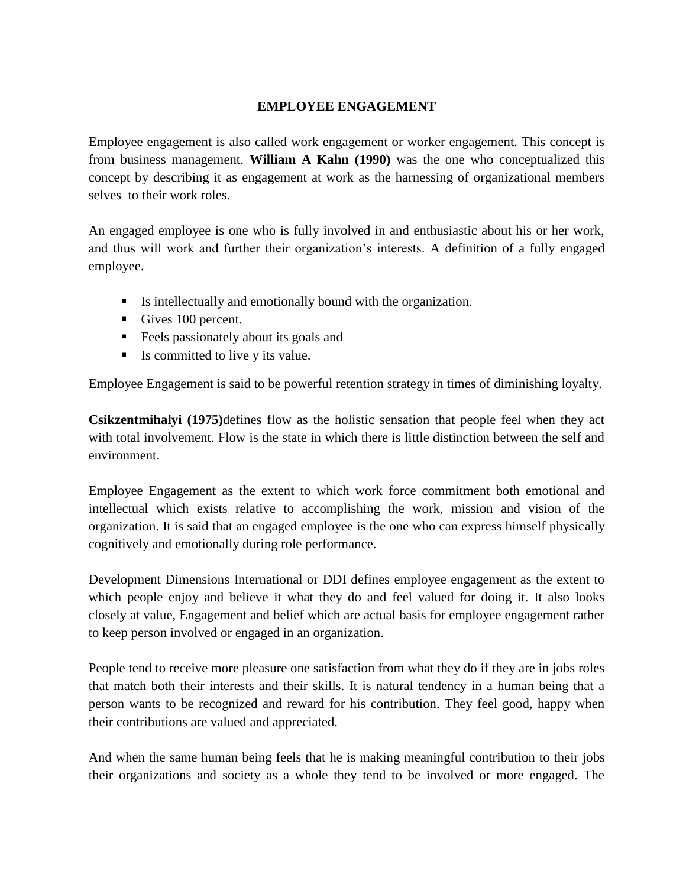### **EMPLOYEE ENGAGEMENT**

Employee engagement is also called work engagement or worker engagement. This concept is from business management. **William A Kahn (1990)** was the one who conceptualized this concept by describing it as engagement at work as the harnessing of organizational members selves to their work roles.

An engaged employee is one who is fully involved in and enthusiastic about his or her work, and thus will work and further their organization's interests. A definition of a fully engaged employee.

- Is intellectually and emotionally bound with the organization.
- Gives 100 percent.
- Feels passionately about its goals and
- Is committed to live y its value.

Employee Engagement is said to be powerful retention strategy in times of diminishing loyalty.

**Csikzentmihalyi (1975)**defines flow as the holistic sensation that people feel when they act with total involvement. Flow is the state in which there is little distinction between the self and environment.

Employee Engagement as the extent to which work force commitment both emotional and intellectual which exists relative to accomplishing the work, mission and vision of the organization. It is said that an engaged employee is the one who can express himself physically cognitively and emotionally during role performance.

Development Dimensions International or DDI defines employee engagement as the extent to which people enjoy and believe it what they do and feel valued for doing it. It also looks closely at value, Engagement and belief which are actual basis for employee engagement rather to keep person involved or engaged in an organization.

People tend to receive more pleasure one satisfaction from what they do if they are in jobs roles that match both their interests and their skills. It is natural tendency in a human being that a person wants to be recognized and reward for his contribution. They feel good, happy when their contributions are valued and appreciated.

And when the same human being feels that he is making meaningful contribution to their jobs their organizations and society as a whole they tend to be involved or more engaged. The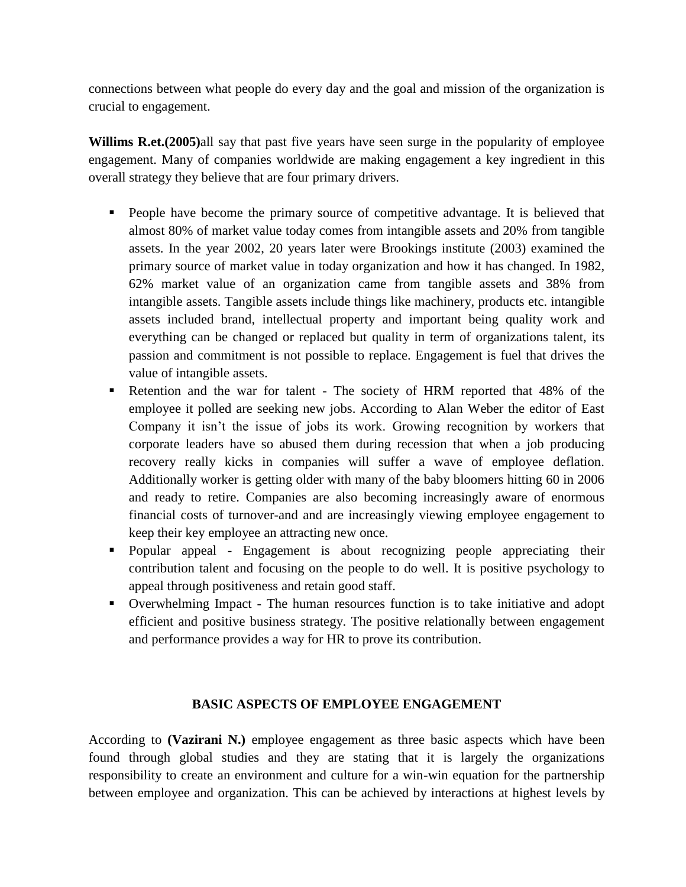connections between what people do every day and the goal and mission of the organization is crucial to engagement.

**Willims R.et.(2005)**all say that past five years have seen surge in the popularity of employee engagement. Many of companies worldwide are making engagement a key ingredient in this overall strategy they believe that are four primary drivers.

- People have become the primary source of competitive advantage. It is believed that almost 80% of market value today comes from intangible assets and 20% from tangible assets. In the year 2002, 20 years later were Brookings institute (2003) examined the primary source of market value in today organization and how it has changed. In 1982, 62% market value of an organization came from tangible assets and 38% from intangible assets. Tangible assets include things like machinery, products etc. intangible assets included brand, intellectual property and important being quality work and everything can be changed or replaced but quality in term of organizations talent, its passion and commitment is not possible to replace. Engagement is fuel that drives the value of intangible assets.
- Retention and the war for talent The society of HRM reported that 48% of the employee it polled are seeking new jobs. According to Alan Weber the editor of East Company it isn't the issue of jobs its work. Growing recognition by workers that corporate leaders have so abused them during recession that when a job producing recovery really kicks in companies will suffer a wave of employee deflation. Additionally worker is getting older with many of the baby bloomers hitting 60 in 2006 and ready to retire. Companies are also becoming increasingly aware of enormous financial costs of turnover-and and are increasingly viewing employee engagement to keep their key employee an attracting new once.
- Popular appeal Engagement is about recognizing people appreciating their contribution talent and focusing on the people to do well. It is positive psychology to appeal through positiveness and retain good staff.
- Overwhelming Impact The human resources function is to take initiative and adopt efficient and positive business strategy. The positive relationally between engagement and performance provides a way for HR to prove its contribution.

#### **BASIC ASPECTS OF EMPLOYEE ENGAGEMENT**

According to **(Vazirani N.)** employee engagement as three basic aspects which have been found through global studies and they are stating that it is largely the organizations responsibility to create an environment and culture for a win-win equation for the partnership between employee and organization. This can be achieved by interactions at highest levels by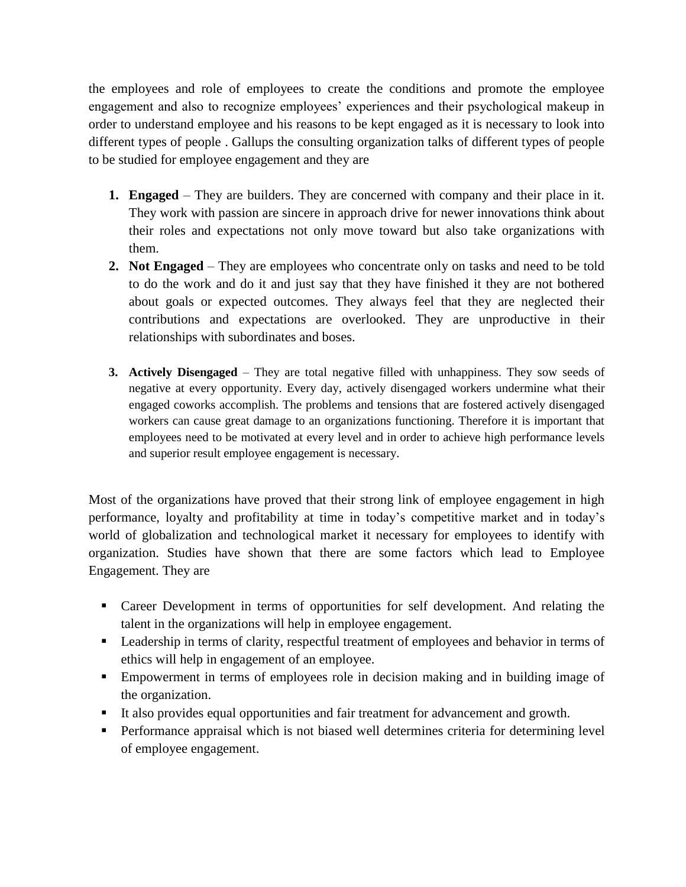the employees and role of employees to create the conditions and promote the employee engagement and also to recognize employees' experiences and their psychological makeup in order to understand employee and his reasons to be kept engaged as it is necessary to look into different types of people . Gallups the consulting organization talks of different types of people to be studied for employee engagement and they are

- **1. Engaged** They are builders. They are concerned with company and their place in it. They work with passion are sincere in approach drive for newer innovations think about their roles and expectations not only move toward but also take organizations with them.
- **2. Not Engaged** They are employees who concentrate only on tasks and need to be told to do the work and do it and just say that they have finished it they are not bothered about goals or expected outcomes. They always feel that they are neglected their contributions and expectations are overlooked. They are unproductive in their relationships with subordinates and boses.
- **3. Actively Disengaged** They are total negative filled with unhappiness. They sow seeds of negative at every opportunity. Every day, actively disengaged workers undermine what their engaged coworks accomplish. The problems and tensions that are fostered actively disengaged workers can cause great damage to an organizations functioning. Therefore it is important that employees need to be motivated at every level and in order to achieve high performance levels and superior result employee engagement is necessary.

Most of the organizations have proved that their strong link of employee engagement in high performance, loyalty and profitability at time in today's competitive market and in today's world of globalization and technological market it necessary for employees to identify with organization. Studies have shown that there are some factors which lead to Employee Engagement. They are

- Career Development in terms of opportunities for self development. And relating the talent in the organizations will help in employee engagement.
- **Leadership in terms of clarity, respectful treatment of employees and behavior in terms of** ethics will help in engagement of an employee.
- Empowerment in terms of employees role in decision making and in building image of the organization.
- It also provides equal opportunities and fair treatment for advancement and growth.
- **Performance appraisal which is not biased well determines criteria for determining level** of employee engagement.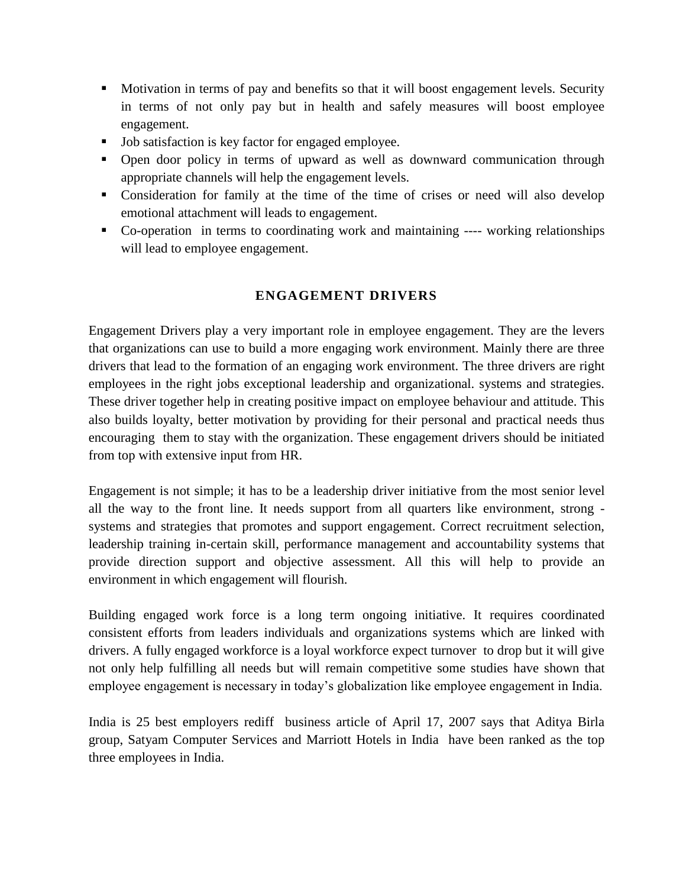- Motivation in terms of pay and benefits so that it will boost engagement levels. Security in terms of not only pay but in health and safely measures will boost employee engagement.
- Job satisfaction is key factor for engaged employee.
- Open door policy in terms of upward as well as downward communication through appropriate channels will help the engagement levels.
- Consideration for family at the time of the time of crises or need will also develop emotional attachment will leads to engagement.
- Co-operation in terms to coordinating work and maintaining ---- working relationships will lead to employee engagement.

# **ENGAGEMENT DRIVERS**

Engagement Drivers play a very important role in employee engagement. They are the levers that organizations can use to build a more engaging work environment. Mainly there are three drivers that lead to the formation of an engaging work environment. The three drivers are right employees in the right jobs exceptional leadership and organizational. systems and strategies. These driver together help in creating positive impact on employee behaviour and attitude. This also builds loyalty, better motivation by providing for their personal and practical needs thus encouraging them to stay with the organization. These engagement drivers should be initiated from top with extensive input from HR.

Engagement is not simple; it has to be a leadership driver initiative from the most senior level all the way to the front line. It needs support from all quarters like environment, strong systems and strategies that promotes and support engagement. Correct recruitment selection, leadership training in-certain skill, performance management and accountability systems that provide direction support and objective assessment. All this will help to provide an environment in which engagement will flourish.

Building engaged work force is a long term ongoing initiative. It requires coordinated consistent efforts from leaders individuals and organizations systems which are linked with drivers. A fully engaged workforce is a loyal workforce expect turnover to drop but it will give not only help fulfilling all needs but will remain competitive some studies have shown that employee engagement is necessary in today's globalization like employee engagement in India.

India is 25 best employers rediff business article of April 17, 2007 says that Aditya Birla group, Satyam Computer Services and Marriott Hotels in India have been ranked as the top three employees in India.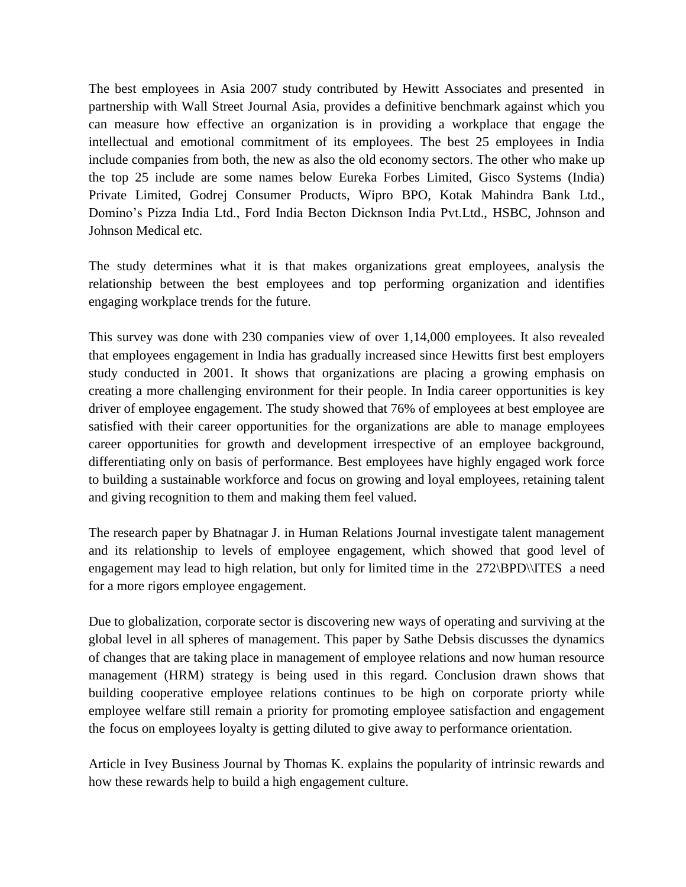The best employees in Asia 2007 study contributed by Hewitt Associates and presented in partnership with Wall Street Journal Asia, provides a definitive benchmark against which you can measure how effective an organization is in providing a workplace that engage the intellectual and emotional commitment of its employees. The best 25 employees in India include companies from both, the new as also the old economy sectors. The other who make up the top 25 include are some names below Eureka Forbes Limited, Gisco Systems (India) Private Limited, Godrej Consumer Products, Wipro BPO, Kotak Mahindra Bank Ltd., Domino's Pizza India Ltd., Ford India Becton Dicknson India Pvt.Ltd., HSBC, Johnson and Johnson Medical etc.

The study determines what it is that makes organizations great employees, analysis the relationship between the best employees and top performing organization and identifies engaging workplace trends for the future.

This survey was done with 230 companies view of over 1,14,000 employees. It also revealed that employees engagement in India has gradually increased since Hewitts first best employers study conducted in 2001. It shows that organizations are placing a growing emphasis on creating a more challenging environment for their people. In India career opportunities is key driver of employee engagement. The study showed that 76% of employees at best employee are satisfied with their career opportunities for the organizations are able to manage employees career opportunities for growth and development irrespective of an employee background, differentiating only on basis of performance. Best employees have highly engaged work force to building a sustainable workforce and focus on growing and loyal employees, retaining talent and giving recognition to them and making them feel valued.

The research paper by Bhatnagar J. in Human Relations Journal investigate talent management and its relationship to levels of employee engagement, which showed that good level of engagement may lead to high relation, but only for limited time in the 272\BPD\ITES a need for a more rigors employee engagement.

Due to globalization, corporate sector is discovering new ways of operating and surviving at the global level in all spheres of management. This paper by Sathe Debsis discusses the dynamics of changes that are taking place in management of employee relations and now human resource management (HRM) strategy is being used in this regard. Conclusion drawn shows that building cooperative employee relations continues to be high on corporate priorty while employee welfare still remain a priority for promoting employee satisfaction and engagement the focus on employees loyalty is getting diluted to give away to performance orientation.

Article in Ivey Business Journal by Thomas K. explains the popularity of intrinsic rewards and how these rewards help to build a high engagement culture.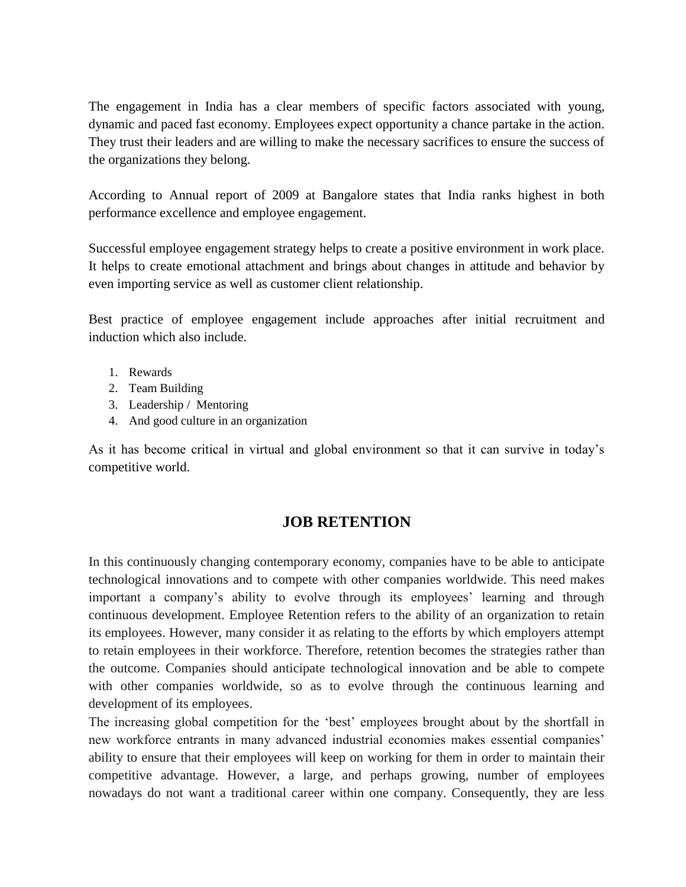The engagement in India has a clear members of specific factors associated with young, dynamic and paced fast economy. Employees expect opportunity a chance partake in the action. They trust their leaders and are willing to make the necessary sacrifices to ensure the success of the organizations they belong.

According to Annual report of 2009 at Bangalore states that India ranks highest in both performance excellence and employee engagement.

Successful employee engagement strategy helps to create a positive environment in work place. It helps to create emotional attachment and brings about changes in attitude and behavior by even importing service as well as customer client relationship.

Best practice of employee engagement include approaches after initial recruitment and induction which also include.

- 1. Rewards
- 2. Team Building
- 3. Leadership / Mentoring
- 4. And good culture in an organization

As it has become critical in virtual and global environment so that it can survive in today's competitive world.

## **JOB RETENTION**

In this continuously changing contemporary economy, companies have to be able to anticipate technological innovations and to compete with other companies worldwide. This need makes important a company's ability to evolve through its employees' learning and through continuous development. Employee Retention refers to the ability of an organization to retain its employees. However, many consider it as relating to the efforts by which employers attempt to retain employees in their workforce. Therefore, retention becomes the strategies rather than the outcome. Companies should anticipate technological innovation and be able to compete with other companies worldwide, so as to evolve through the continuous learning and development of its employees.

The increasing global competition for the 'best' employees brought about by the shortfall in new workforce entrants in many advanced industrial economies makes essential companies' ability to ensure that their employees will keep on working for them in order to maintain their competitive advantage. However, a large, and perhaps growing, number of employees nowadays do not want a traditional career within one company. Consequently, they are less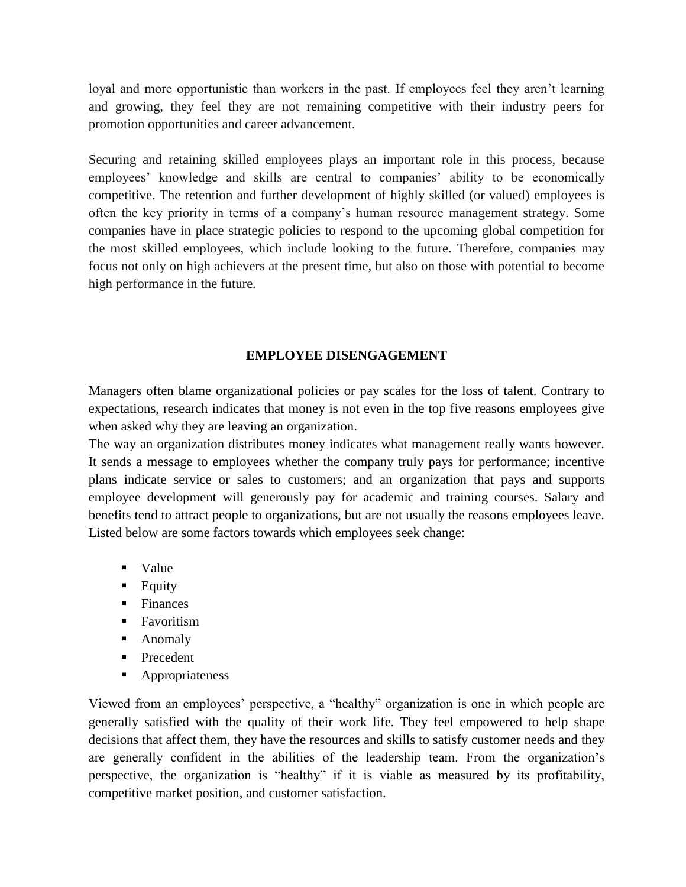loyal and more opportunistic than workers in the past. If employees feel they aren't learning and growing, they feel they are not remaining competitive with their industry peers for promotion opportunities and career advancement.

Securing and retaining skilled employees plays an important role in this process, because employees' knowledge and skills are central to companies' ability to be economically competitive. The retention and further development of highly skilled (or valued) employees is often the key priority in terms of a company's human resource management strategy. Some companies have in place strategic policies to respond to the upcoming global competition for the most skilled employees, which include looking to the future. Therefore, companies may focus not only on high achievers at the present time, but also on those with potential to become high performance in the future.

#### **EMPLOYEE DISENGAGEMENT**

Managers often blame organizational policies or pay scales for the loss of talent. Contrary to expectations, research indicates that money is not even in the top five reasons employees give when asked why they are leaving an organization.

The way an organization distributes money indicates what management really wants however. It sends a message to employees whether the company truly pays for performance; incentive plans indicate service or sales to customers; and an organization that pays and supports employee development will generously pay for academic and training courses. Salary and benefits tend to attract people to organizations, but are not usually the reasons employees leave. Listed below are some factors towards which employees seek change:

- Value
- **Equity**
- $\blacksquare$  Finances
- **Favoritism**
- **Anomaly**
- **Precedent**
- **Appropriateness**

Viewed from an employees' perspective, a "healthy" organization is one in which people are generally satisfied with the quality of their work life. They feel empowered to help shape decisions that affect them, they have the resources and skills to satisfy customer needs and they are generally confident in the abilities of the leadership team. From the organization's perspective, the organization is "healthy" if it is viable as measured by its profitability, competitive market position, and customer satisfaction.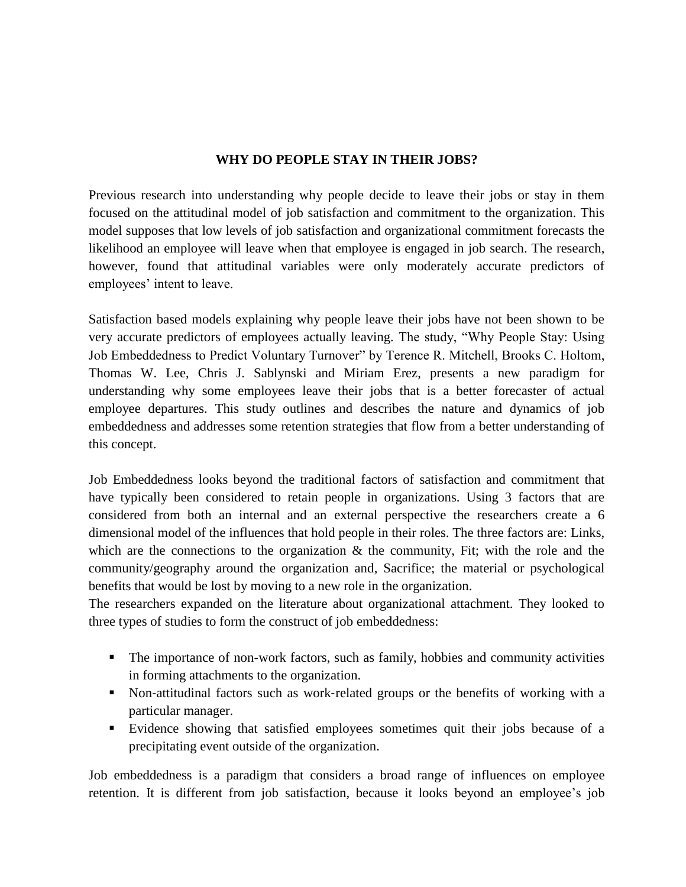### **WHY DO PEOPLE STAY IN THEIR JOBS?**

Previous research into understanding why people decide to leave their jobs or stay in them focused on the attitudinal model of job satisfaction and commitment to the organization. This model supposes that low levels of job satisfaction and organizational commitment forecasts the likelihood an employee will leave when that employee is engaged in job search. The research, however, found that attitudinal variables were only moderately accurate predictors of employees' intent to leave.

Satisfaction based models explaining why people leave their jobs have not been shown to be very accurate predictors of employees actually leaving. The study, "Why People Stay: Using Job Embeddedness to Predict Voluntary Turnover" by Terence R. Mitchell, Brooks C. Holtom, Thomas W. Lee, Chris J. Sablynski and Miriam Erez, presents a new paradigm for understanding why some employees leave their jobs that is a better forecaster of actual employee departures. This study outlines and describes the nature and dynamics of job embeddedness and addresses some retention strategies that flow from a better understanding of this concept.

Job Embeddedness looks beyond the traditional factors of satisfaction and commitment that have typically been considered to retain people in organizations. Using 3 factors that are considered from both an internal and an external perspective the researchers create a 6 dimensional model of the influences that hold people in their roles. The three factors are: Links, which are the connections to the organization  $\&$  the community, Fit; with the role and the community/geography around the organization and, Sacrifice; the material or psychological benefits that would be lost by moving to a new role in the organization.

The researchers expanded on the literature about organizational attachment. They looked to three types of studies to form the construct of job embeddedness:

- The importance of non-work factors, such as family, hobbies and community activities in forming attachments to the organization.
- Non-attitudinal factors such as work-related groups or the benefits of working with a particular manager.
- Evidence showing that satisfied employees sometimes quit their jobs because of a precipitating event outside of the organization.

Job embeddedness is a paradigm that considers a broad range of influences on employee retention. It is different from job satisfaction, because it looks beyond an employee's job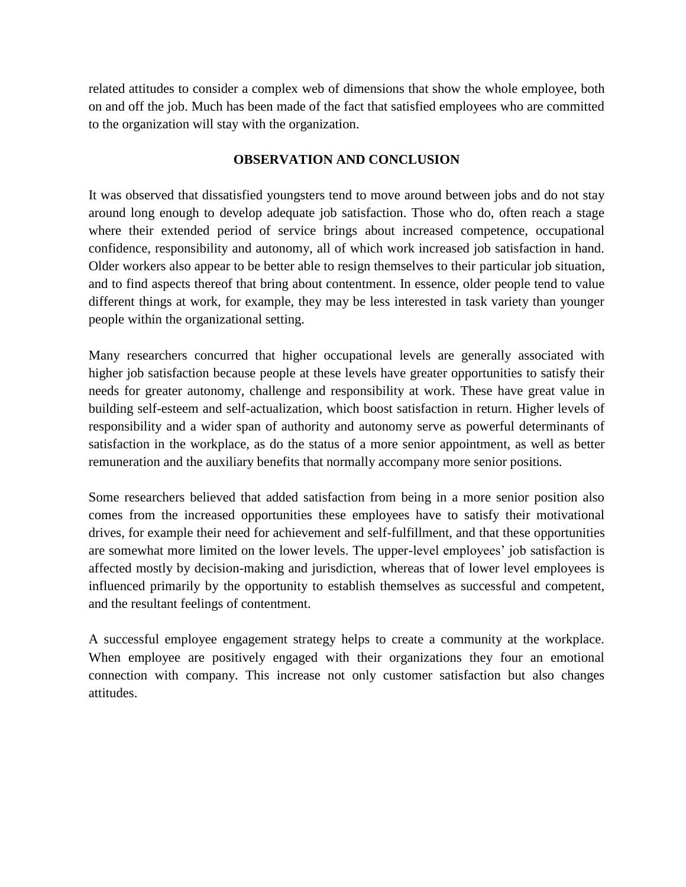related attitudes to consider a complex web of dimensions that show the whole employee, both on and off the job. Much has been made of the fact that satisfied employees who are committed to the organization will stay with the organization.

### **OBSERVATION AND CONCLUSION**

It was observed that dissatisfied youngsters tend to move around between jobs and do not stay around long enough to develop adequate job satisfaction. Those who do, often reach a stage where their extended period of service brings about increased competence, occupational confidence, responsibility and autonomy, all of which work increased job satisfaction in hand. Older workers also appear to be better able to resign themselves to their particular job situation, and to find aspects thereof that bring about contentment. In essence, older people tend to value different things at work, for example, they may be less interested in task variety than younger people within the organizational setting.

Many researchers concurred that higher occupational levels are generally associated with higher job satisfaction because people at these levels have greater opportunities to satisfy their needs for greater autonomy, challenge and responsibility at work. These have great value in building self-esteem and self-actualization, which boost satisfaction in return. Higher levels of responsibility and a wider span of authority and autonomy serve as powerful determinants of satisfaction in the workplace, as do the status of a more senior appointment, as well as better remuneration and the auxiliary benefits that normally accompany more senior positions.

Some researchers believed that added satisfaction from being in a more senior position also comes from the increased opportunities these employees have to satisfy their motivational drives, for example their need for achievement and self-fulfillment, and that these opportunities are somewhat more limited on the lower levels. The upper-level employees' job satisfaction is affected mostly by decision-making and jurisdiction, whereas that of lower level employees is influenced primarily by the opportunity to establish themselves as successful and competent, and the resultant feelings of contentment.

A successful employee engagement strategy helps to create a community at the workplace. When employee are positively engaged with their organizations they four an emotional connection with company. This increase not only customer satisfaction but also changes attitudes.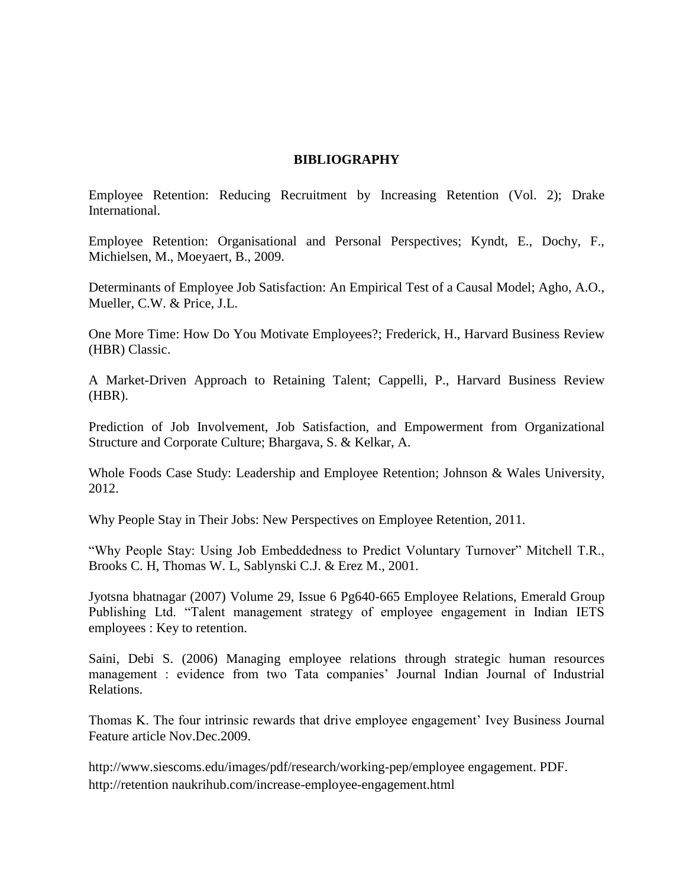#### **BIBLIOGRAPHY**

Employee Retention: Reducing Recruitment by Increasing Retention (Vol. 2); Drake International.

Employee Retention: Organisational and Personal Perspectives; Kyndt, E., Dochy, F., Michielsen, M., Moeyaert, B., 2009.

Determinants of Employee Job Satisfaction: An Empirical Test of a Causal Model; Agho, A.O., Mueller, C.W. & Price, J.L.

One More Time: How Do You Motivate Employees?; Frederick, H., Harvard Business Review (HBR) Classic.

A Market-Driven Approach to Retaining Talent; Cappelli, P., Harvard Business Review (HBR).

Prediction of Job Involvement, Job Satisfaction, and Empowerment from Organizational Structure and Corporate Culture; Bhargava, S. & Kelkar, A.

Whole Foods Case Study: Leadership and Employee Retention; Johnson & Wales University, 2012.

Why People Stay in Their Jobs: New Perspectives on Employee Retention, 2011.

"Why People Stay: Using Job Embeddedness to Predict Voluntary Turnover" Mitchell T.R., Brooks C. H, Thomas W. L, Sablynski C.J. & Erez M., 2001.

Jyotsna bhatnagar (2007) Volume 29, Issue 6 Pg640-665 Employee Relations, Emerald Group Publishing Ltd. "Talent management strategy of employee engagement in Indian IETS employees : Key to retention.

Saini, Debi S. (2006) Managing employee relations through strategic human resources management : evidence from two Tata companies' Journal Indian Journal of Industrial Relations.

Thomas K. The four intrinsic rewards that drive employee engagement' Ivey Business Journal Feature article Nov.Dec.2009.

[http://www.siescoms.edu/images/pdf/research/working-pep/employee engagement. PDF.](http://www.siescoms.edu/images/pdf/research/working-pep/employee%20engagement.pdf) [http://retention](http://retention/) naukrihub.com/increase-employee-engagement.html